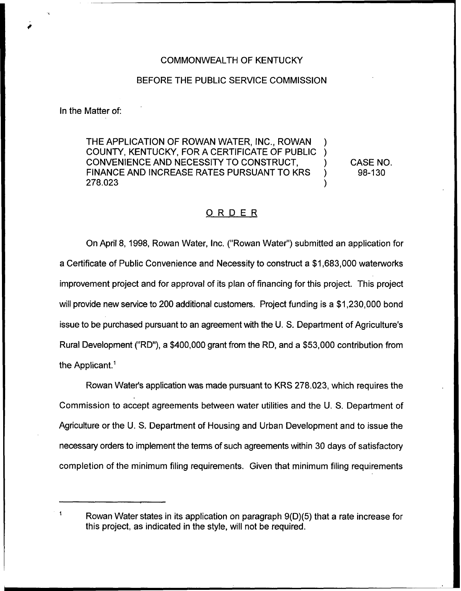## COMMONWEALTH OF KENTUCKY

## BEFORE THE PUBLIC SERVICE COMMISSION

In the Matter of:

Applicant.'owan

 $\ddot{\mathbf{1}}$ 

THE APPLICATION OF ROWAN WATER, INC., ROWAN COUNTY, KENTUCKY, FOR A CERTIFICATE OF PUBLIC ) CONVENIENCE AND NECESSITY TO CONSTRUCT. FINANCE AND INCREASE RATES PURSUANT TO KRS<br>278.023 278.023 )

CASE NO. 98-130

## ORDER

On April 8, 1998, Rowan Water, Inc. ("Rowan Water") submitted an application for a Certificate of Public Convenience and Necessity to construct a \$1,683,000 waterworks improvement project and for approval of its plan of financing for this project. This project will provide new service to 200 additional customers. Project funding is a \$1,230,000 bond issue to be purchased pursuant to an agreement with the U. S. Department of Agriculture's Rural Development ("RD"), a \$400,000 grant from the RD, and a \$53,000 contribution from the Applicant.<sup>1</sup>

Rowan Water's application was made pursuant to KRS 278.023, which requires the Commission to accept agreements between water utilities and the U. S. Department of Agriculture or the U. S. Department of Housing and Urban Development and to issue the necessary orders to implement the terms of such agreements within 30 days of satisfactory completion of the minimum filing requirements. Given that minimum filing requirements

Rowan Water states in its application on paragraph 9(D)(5) that a rate increase for this project, as indicated in the style, will not be required.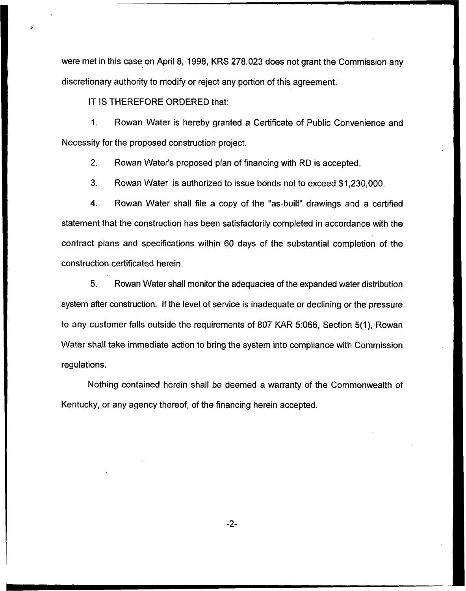were met in this case on April 8, 1998, KRS 278.023 does not grant the Commission any discretionary authority to modify or reject any portion of this agreement.

IT IS THEREFORE ORDERED that:

1. Rowan Water is hereby granted a Certificate of Public Convenience and Necessity for the proposed construction project.

2. Rowan Water's proposed plan of financing with RD is accepted.

3. Rowan Water is authorized to issue bonds not to exceed \$1,230,000.

4. Rowan Water shall file a copy of the "as-built" drawings and a certified statement that the construction has been satisfactorily completed in accordance with the contract plans and specifications within 60 days of the substantial completion of the construction certificated herein.

5. Rowan Water shall monitor the adequacies of the expanded water distribution system after construction. If the level of service is inadequate or declining or the pressure to any customer falls outside the requirements of 807 KAR 5:066, Section 5(1), Rowan Water shall take immediate action to bring the system into compliance with Commission regulations.

Nothing contained herein shall be deemed a warranty of the Commonwealth of Kentucky, or any agency thereof, of the financing herein accepted.

 $-2-$